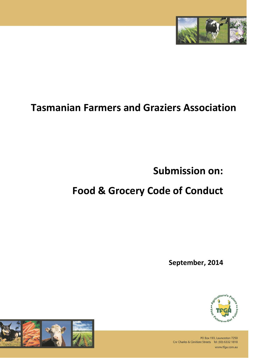

## **Tasmanian Farmers and Graziers Association**

**Submission on:**

# **Food & Grocery Code of Conduct**

**September, 2014**





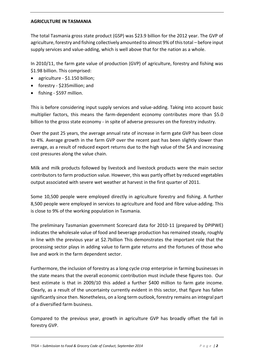#### **AGRICULTURE IN TASMANIA**

The total Tasmania gross state product (GSP) was \$23.9 billion for the 2012 year. The GVP of agriculture, forestry and fishing collectively amounted to almost 9% of this total – before input supply services and value-adding, which is well above that for the nation as a whole.

In 2010/11, the farm gate value of production (GVP) of agriculture, forestry and fishing was \$1.98 billion. This comprised:

- agriculture \$1.150 billion;
- forestry \$235 million; and
- fishing \$597 million.

This is before considering input supply services and value-adding. Taking into account basic multiplier factors, this means the farm-dependent economy contributes more than \$5.0 billion to the gross state economy - in spite of adverse pressures on the forestry industry.

Over the past 25 years, the average annual rate of increase in farm gate GVP has been close to 4%. Average growth in the farm GVP over the recent past has been slightly slower than average, as a result of reduced export returns due to the high value of the \$A and increasing cost pressures along the value chain.

Milk and milk products followed by livestock and livestock products were the main sector contributors to farm production value. However, this was partly offset by reduced vegetables output associated with severe wet weather at harvest in the first quarter of 2011.

Some 10,500 people were employed directly in agriculture forestry and fishing. A further 8,500 people were employed in services to agriculture and food and fibre value-adding. This is close to 9% of the working population in Tasmania.

The preliminary Tasmanian government Scorecard data for 2010-11 (prepared by DPIPWE) indicates the wholesale value of food and beverage production has remained steady, roughly in line with the previous year at \$2.7billion This demonstrates the important role that the processing sector plays in adding value to farm gate returns and the fortunes of those who live and work in the farm dependent sector.

Furthermore, the inclusion of forestry as a long cycle crop enterprise in farming businesses in the state means that the overall economic contribution must include these figures too. Our best estimate is that in 2009/10 this added a further \$400 million to farm gate income. Clearly, as a result of the uncertainty currently evident in this sector, that figure has fallen significantly since then. Nonetheless, on a long term outlook, forestry remains an integral part of a diversified farm business.

Compared to the previous year, growth in agriculture GVP has broadly offset the fall in forestry GVP.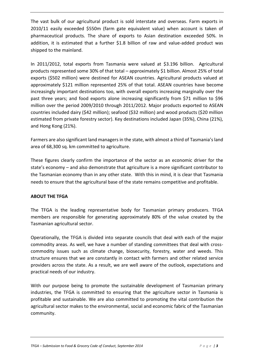The vast bulk of our agricultural product is sold interstate and overseas. Farm exports in 2010/11 easily exceeded \$550m (farm gate equivalent value) when account is taken of pharmaceutical products. The share of exports to Asian destination exceeded 50%. In addition, it is estimated that a further \$1.8 billion of raw and value-added product was shipped to the mainland.

In 2011/2012, total exports from Tasmania were valued at \$3.196 billion. Agricultural products represented some 30% of that total – approximately \$1 billion. Almost 25% of total exports (\$502 million) were destined for ASEAN countries. Agricultural products valued at approximately \$121 million represented 25% of that total. ASEAN countries have become increasingly important destinations too, with overall exports increasing marginally over the past three years; and food exports alone increasing significantly from \$71 million to \$96 million over the period 2009/2010 through 2011/2012. Major products exported to ASEAN countries included dairy (\$42 million); seafood (\$32 million) and wood products (\$20 million estimated from private forestry sector). Key destinations included Japan (35%), China (21%), and Hong Kong (21%).

Farmers are also significant land managers in the state, with almost a third of Tasmania's land area of 68,300 sq. km committed to agriculture.

These figures clearly confirm the importance of the sector as an economic driver for the state's economy – and also demonstrate that agriculture is a more significant contributor to the Tasmanian economy than in any other state. With this in mind, it is clear that Tasmania needs to ensure that the agricultural base of the state remains competitive and profitable.

### **ABOUT THE TFGA**

The TFGA is the leading representative body for Tasmanian primary producers. TFGA members are responsible for generating approximately 80% of the value created by the Tasmanian agricultural sector.

Operationally, the TFGA is divided into separate councils that deal with each of the major commodity areas. As well, we have a number of standing committees that deal with crosscommodity issues such as climate change, biosecurity, forestry, water and weeds. This structure ensures that we are constantly in contact with farmers and other related service providers across the state. As a result, we are well aware of the outlook, expectations and practical needs of our industry.

With our purpose being to promote the sustainable development of Tasmanian primary industries, the TFGA is committed to ensuring that the agriculture sector in Tasmania is profitable and sustainable. We are also committed to promoting the vital contribution the agricultural sector makes to the environmental, social and economic fabric of the Tasmanian community.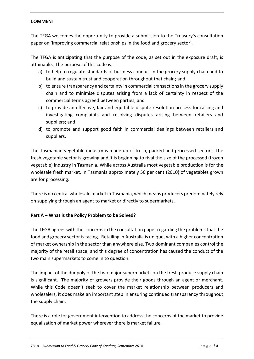#### **COMMENT**

The TFGA welcomes the opportunity to provide a submission to the Treasury's consultation paper on 'Improving commercial relationships in the food and grocery sector'.

The TFGA is anticipating that the purpose of the code, as set out in the exposure draft, is attainable. The purpose of this code is:

- a) to help to regulate standards of business conduct in the grocery supply chain and to build and sustain trust and cooperation throughout that chain; and
- b) to ensure transparency and certainty in commercial transactions in the grocery supply chain and to minimise disputes arising from a lack of certainty in respect of the commercial terms agreed between parties; and
- c) to provide an effective, fair and equitable dispute resolution process for raising and investigating complaints and resolving disputes arising between retailers and suppliers; and
- d) to promote and support good faith in commercial dealings between retailers and suppliers.

The Tasmanian vegetable industry is made up of fresh, packed and processed sectors. The fresh vegetable sector is growing and it is beginning to rival the size of the processed (frozen vegetable) industry in Tasmania. While across Australia most vegetable production is for the wholesale fresh market, in Tasmania approximately 56 per cent (2010) of vegetables grown are for processing.

There is no central wholesale market in Tasmania, which means producers predominately rely on supplying through an agent to market or directly to supermarkets.

### **Part A – What is the Policy Problem to be Solved?**

The TFGA agrees with the concerns in the consultation paper regarding the problems that the food and grocery sector is facing. Retailing in Australia is unique, with a higher concentration of market ownership in the sector than anywhere else. Two dominant companies control the majority of the retail space; and this degree of concentration has caused the conduct of the two main supermarkets to come in to question.

The impact of the duopoly of the two major supermarkets on the fresh produce supply chain is significant. The majority of growers provide their goods through an agent or merchant. While this Code doesn't seek to cover the market relationship between producers and wholesalers, it does make an important step in ensuring continued transparency throughout the supply chain.

There is a role for government intervention to address the concerns of the market to provide equalisation of market power wherever there is market failure.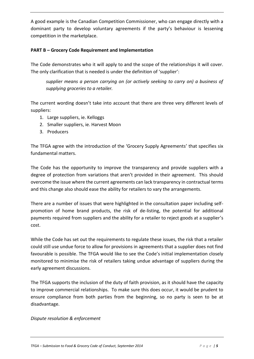A good example is the Canadian Competition Commissioner, who can engage directly with a dominant party to develop voluntary agreements if the party's behaviour is lessening competition in the marketplace.

### **PART B – Grocery Code Requirement and Implementation**

The Code demonstrates who it will apply to and the scope of the relationships it will cover. The only clarification that is needed is under the definition of 'supplier':

*supplier means a person carrying on (or actively seeking to carry on) a business of supplying groceries to a retailer.*

The current wording doesn't take into account that there are three very different levels of suppliers:

- 1. Large suppliers, ie. Kelloggs
- 2. Smaller suppliers, ie. Harvest Moon
- 3. Producers

The TFGA agree with the introduction of the 'Grocery Supply Agreements' that specifies six fundamental matters.

The Code has the opportunity to improve the transparency and provide suppliers with a degree of protection from variations that aren't provided in their agreement. This should overcome the issue where the current agreements can lack transparency in contractual terms and this change also should ease the ability for retailers to vary the arrangements.

There are a number of issues that were highlighted in the consultation paper including selfpromotion of home brand products, the risk of de-listing, the potential for additional payments required from suppliers and the ability for a retailer to reject goods at a supplier's cost.

While the Code has set out the requirements to regulate these issues, the risk that a retailer could still use undue force to allow for provisions in agreements that a supplier does not find favourable is possible. The TFGA would like to see the Code's initial implementation closely monitored to minimise the risk of retailers taking undue advantage of suppliers during the early agreement discussions.

The TFGA supports the inclusion of the duty of faith provision, as it should have the capacity to improve commercial relationships. To make sure this does occur, it would be prudent to ensure compliance from both parties from the beginning, so no party is seen to be at disadvantage.

### *Dispute resolution & enforcement*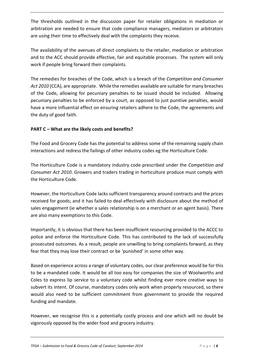The thresholds outlined in the discussion paper for retailer obligations in mediation or arbitration are needed to ensure that code compliance managers, mediators or arbitrators are using their time to effectively deal with the complaints they receive.

The availability of the avenues of direct complaints to the retailer, mediation or arbitration and to the ACC should provide effective, fair and equitable processes. The system will only work if people bring forward their complaints.

The remedies for breaches of the Code, which is a breach of the *Competition and Consumer Act 2010* (CCA), are appropriate. While the remedies available are suitable for many breaches of the Code, allowing for pecuniary penalties to be issued should be included. Allowing pecuniary penalties to be enforced by a court, as opposed to just punitive penalties, would have a more influential effect on ensuring retailers adhere to the Code, the agreements and the duty of good faith.

## **PART C – What are the likely costs and benefits?**

The Food and Grocery Code has the potential to address some of the remaining supply chain interactions and redress the failings of other industry codes eg the Horticulture Code.

The Horticulture Code is a mandatory industry code prescribed under the *Competition and Consumer Act 2010*. Growers and traders trading in horticulture produce must comply with the Horticulture Code.

However, the Horticulture Code lacks sufficient transparency around contracts and the prices received for goods; and it has failed to deal effectively with disclosure about the method of sales engagement (ie whether a sales relationship is on a merchant or an agent basis). There are also many exemptions to this Code.

Importantly, it is obvious that there has been insufficient resourcing provided to the ACCC to police and enforce the Horticulture Code. This has contributed to the lack of successfully prosecuted outcomes. As a result, people are unwilling to bring complaints forward, as they fear that they may lose their contract or be 'punished' in some other way.

Based on experience across a range of voluntary codes, our clear preference would be for this to be a mandated code. It would be all too easy for companies the size of Woolworths and Coles to express lip service to a voluntary code whilst finding ever more creative ways to subvert its intent. Of course, mandatory codes only work when properly resourced, so there would also need to be sufficient commitment from government to provide the required funding and mandate.

However, we recognise this is a potentially costly process and one which will no doubt be vigorously opposed by the wider food and grocery industry.